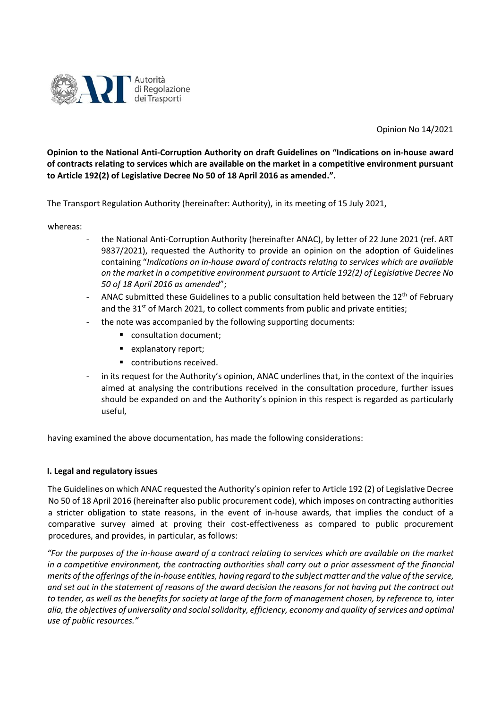

Opinion No 14/2021

**Opinion to the National Anti-Corruption Authority on draft Guidelines on "Indications on in-house award of contracts relating to services which are available on the market in a competitive environment pursuant to Article 192(2) of Legislative Decree No 50 of 18 April 2016 as amended.".** 

The Transport Regulation Authority (hereinafter: Authority), in its meeting of 15 July 2021,

whereas:

- the National Anti-Corruption Authority (hereinafter ANAC), by letter of 22 June 2021 (ref. ART 9837/2021), requested the Authority to provide an opinion on the adoption of Guidelines containing "*Indications on in-house award of contracts relating to services which are available on the market in a competitive environment pursuant to Article 192(2) of Legislative Decree No 50 of 18 April 2016 as amended*";
- ANAC submitted these Guidelines to a public consultation held between the  $12<sup>th</sup>$  of February and the  $31<sup>st</sup>$  of March 2021, to collect comments from public and private entities;
- the note was accompanied by the following supporting documents:
	- consultation document;
	- explanatory report;
	- contributions received.
- in its request for the Authority's opinion, ANAC underlines that, in the context of the inquiries aimed at analysing the contributions received in the consultation procedure, further issues should be expanded on and the Authority's opinion in this respect is regarded as particularly useful,

having examined the above documentation, has made the following considerations:

## **I. Legal and regulatory issues**

The Guidelines on which ANAC requested the Authority's opinion refer to Article 192 (2) of Legislative Decree No 50 of 18 April 2016 (hereinafter also public procurement code), which imposes on contracting authorities a stricter obligation to state reasons, in the event of in-house awards, that implies the conduct of a comparative survey aimed at proving their cost-effectiveness as compared to public procurement procedures, and provides, in particular, as follows:

*"For the purposes of the in-house award of a contract relating to services which are available on the market in a competitive environment, the contracting authorities shall carry out a prior assessment of the financial merits of the offerings of the in-house entities, having regard to the subject matter and the value of the service, and set out in the statement of reasons of the award decision the reasons for not having put the contract out to tender, as well as the benefits for society at large of the form of management chosen, by reference to, inter alia, the objectives of universality and social solidarity, efficiency, economy and quality of services and optimal use of public resources."*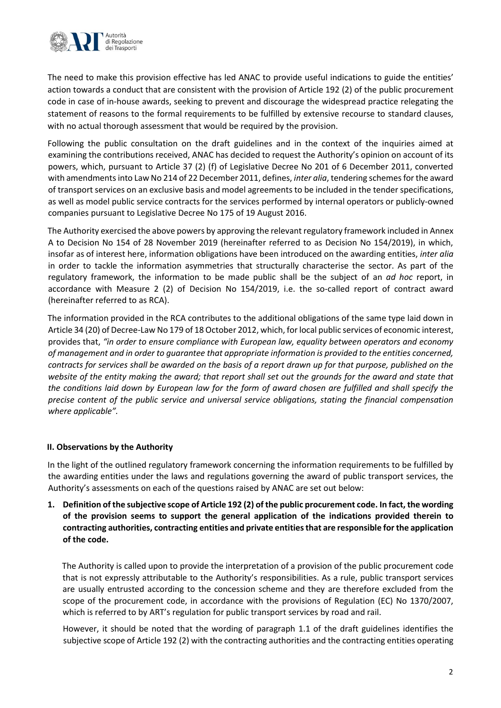

The need to make this provision effective has led ANAC to provide useful indications to guide the entities' action towards a conduct that are consistent with the provision of Article 192 (2) of the public procurement code in case of in-house awards, seeking to prevent and discourage the widespread practice relegating the statement of reasons to the formal requirements to be fulfilled by extensive recourse to standard clauses, with no actual thorough assessment that would be required by the provision.

Following the public consultation on the draft guidelines and in the context of the inquiries aimed at examining the contributions received, ANAC has decided to request the Authority's opinion on account of its powers, which, pursuant to Article 37 (2) (f) of Legislative Decree No 201 of 6 December 2011, converted with amendments into Law No 214 of 22 December 2011, defines, *inter alia*, tendering schemes for the award of transport services on an exclusive basis and model agreements to be included in the tender specifications, as well as model public service contracts for the services performed by internal operators or publicly-owned companies pursuant to Legislative Decree No 175 of 19 August 2016.

The Authority exercised the above powers by approving the relevant regulatory framework included in Annex A to Decision No 154 of 28 November 2019 (hereinafter referred to as Decision No 154/2019), in which, insofar as of interest here, information obligations have been introduced on the awarding entities, *inter alia*  in order to tackle the information asymmetries that structurally characterise the sector. As part of the regulatory framework, the information to be made public shall be the subject of an *ad hoc* report, in accordance with Measure 2 (2) of Decision No 154/2019, i.e. the so-called report of contract award (hereinafter referred to as RCA).

The information provided in the RCA contributes to the additional obligations of the same type laid down in Article 34 (20) of Decree-Law No 179 of 18 October 2012, which, for local public services of economic interest, provides that, *"in order to ensure compliance with European law, equality between operators and economy of management and in order to guarantee that appropriate information is provided to the entities concerned, contracts for services shall be awarded on the basis of a report drawn up for that purpose, published on the website of the entity making the award; that report shall set out the grounds for the award and state that the conditions laid down by European law for the form of award chosen are fulfilled and shall specify the precise content of the public service and universal service obligations, stating the financial compensation where applicable".*

## **II. Observations by the Authority**

In the light of the outlined regulatory framework concerning the information requirements to be fulfilled by the awarding entities under the laws and regulations governing the award of public transport services, the Authority's assessments on each of the questions raised by ANAC are set out below:

**1. Definition of the subjective scope of Article 192 (2) of the public procurement code. In fact, the wording of the provision seems to support the general application of the indications provided therein to contracting authorities, contracting entities and private entities that are responsible for the application of the code.** 

The Authority is called upon to provide the interpretation of a provision of the public procurement code that is not expressly attributable to the Authority's responsibilities. As a rule, public transport services are usually entrusted according to the concession scheme and they are therefore excluded from the scope of the procurement code, in accordance with the provisions of Regulation (EC) No 1370/2007, which is referred to by ART's regulation for public transport services by road and rail.

However, it should be noted that the wording of paragraph 1.1 of the draft guidelines identifies the subjective scope of Article 192 (2) with the contracting authorities and the contracting entities operating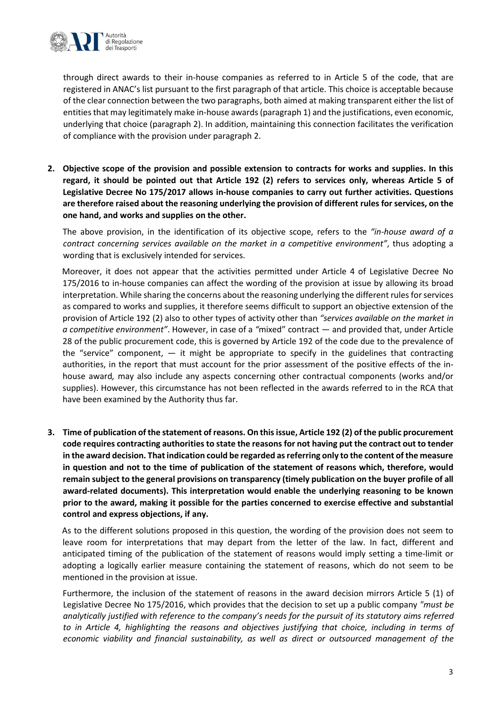

through direct awards to their in-house companies as referred to in Article 5 of the code, that are registered in ANAC's list pursuant to the first paragraph of that article. This choice is acceptable because of the clear connection between the two paragraphs, both aimed at making transparent either the list of entities that may legitimately make in-house awards(paragraph 1) and the justifications, even economic, underlying that choice (paragraph 2). In addition, maintaining this connection facilitates the verification of compliance with the provision under paragraph 2.

**2. Objective scope of the provision and possible extension to contracts for works and supplies. In this regard, it should be pointed out that Article 192 (2) refers to services only, whereas Article 5 of Legislative Decree No 175/2017 allows in-house companies to carry out further activities. Questions are therefore raised about the reasoning underlying the provision of different rules for services, on the one hand, and works and supplies on the other.** 

The above provision, in the identification of its objective scope, refers to the *"in-house award of a contract concerning services available on the market in a competitive environment"*, thus adopting a wording that is exclusively intended for services.

Moreover, it does not appear that the activities permitted under Article 4 of Legislative Decree No 175/2016 to in-house companies can affect the wording of the provision at issue by allowing its broad interpretation. While sharing the concerns about the reasoning underlying the different rules for services as compared to works and supplies, it therefore seems difficult to support an objective extension of the provision of Article 192 (2) also to other types of activity other than *"services available on the market in a competitive environment"*. However, in case of a *"*mixed" contract — and provided that, under Article 28 of the public procurement code, this is governed by Article 192 of the code due to the prevalence of the "service" component,  $-$  it might be appropriate to specify in the guidelines that contracting authorities, in the report that must account for the prior assessment of the positive effects of the inhouse award*,* may also include any aspects concerning other contractual components (works and/or supplies). However, this circumstance has not been reflected in the awards referred to in the RCA that have been examined by the Authority thus far.

**3. Time of publication of the statement of reasons. On this issue, Article 192 (2) of the public procurement code requires contracting authorities to state the reasons for not having put the contract out to tender in the award decision. That indication could be regarded as referring only to the content of the measure in question and not to the time of publication of the statement of reasons which, therefore, would remain subject to the general provisions on transparency (timely publication on the buyer profile of all award-related documents). This interpretation would enable the underlying reasoning to be known prior to the award, making it possible for the parties concerned to exercise effective and substantial control and express objections, if any.** 

As to the different solutions proposed in this question, the wording of the provision does not seem to leave room for interpretations that may depart from the letter of the law. In fact, different and anticipated timing of the publication of the statement of reasons would imply setting a time-limit or adopting a logically earlier measure containing the statement of reasons, which do not seem to be mentioned in the provision at issue.

Furthermore, the inclusion of the statement of reasons in the award decision mirrors Article 5 (1) of Legislative Decree No 175/2016, which provides that the decision to set up a public company *"must be analytically justified with reference to the company's needs for the pursuit of its statutory aims referred to in Article 4, highlighting the reasons and objectives justifying that choice, including in terms of economic viability and financial sustainability, as well as direct or outsourced management of the*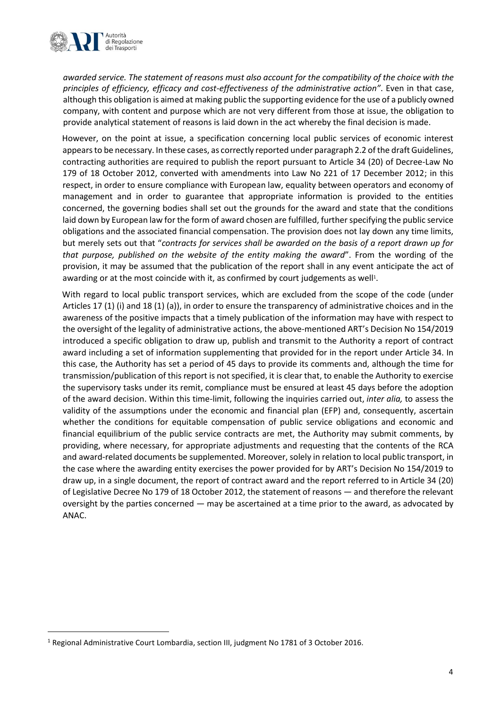

*awarded service. The statement of reasons must also account for the compatibility of the choice with the principles of efficiency, efficacy and cost-effectiveness of the administrative action"*. Even in that case, although this obligation is aimed at making public the supporting evidence for the use of a publicly owned company, with content and purpose which are not very different from those at issue, the obligation to provide analytical statement of reasons is laid down in the act whereby the final decision is made.

However, on the point at issue, a specification concerning local public services of economic interest appears to be necessary. In these cases, as correctly reported under paragraph 2.2 of the draft Guidelines, contracting authorities are required to publish the report pursuant to Article 34 (20) of Decree-Law No 179 of 18 October 2012, converted with amendments into Law No 221 of 17 December 2012; in this respect, in order to ensure compliance with European law, equality between operators and economy of management and in order to guarantee that appropriate information is provided to the entities concerned, the governing bodies shall set out the grounds for the award and state that the conditions laid down by European law for the form of award chosen are fulfilled, further specifying the public service obligations and the associated financial compensation. The provision does not lay down any time limits, but merely sets out that "*contracts for services shall be awarded on the basis of a report drawn up for that purpose, published on the website of the entity making the award*". From the wording of the provision, it may be assumed that the publication of the report shall in any event anticipate the act of awarding or at the most coincide with it, as confirmed by court judgements as well<sup>1</sup>.

With regard to local public transport services, which are excluded from the scope of the code (under Articles 17 (1) (i) and 18 (1) (a)), in order to ensure the transparency of administrative choices and in the awareness of the positive impacts that a timely publication of the information may have with respect to the oversight of the legality of administrative actions, the above-mentioned ART's Decision No 154/2019 introduced a specific obligation to draw up, publish and transmit to the Authority a report of contract award including a set of information supplementing that provided for in the report under Article 34. In this case, the Authority has set a period of 45 days to provide its comments and, although the time for transmission/publication of this report is not specified, it is clear that, to enable the Authority to exercise the supervisory tasks under its remit, compliance must be ensured at least 45 days before the adoption of the award decision. Within this time-limit, following the inquiries carried out, *inter alia,* to assess the validity of the assumptions under the economic and financial plan (EFP) and, consequently, ascertain whether the conditions for equitable compensation of public service obligations and economic and financial equilibrium of the public service contracts are met, the Authority may submit comments, by providing, where necessary, for appropriate adjustments and requesting that the contents of the RCA and award-related documents be supplemented. Moreover, solely in relation to local public transport, in the case where the awarding entity exercises the power provided for by ART's Decision No 154/2019 to draw up, in a single document, the report of contract award and the report referred to in Article 34 (20) of Legislative Decree No 179 of 18 October 2012, the statement of reasons — and therefore the relevant oversight by the parties concerned — may be ascertained at a time prior to the award, as advocated by ANAC.

<sup>1</sup> Regional Administrative Court Lombardia, section III, judgment No 1781 of 3 October 2016.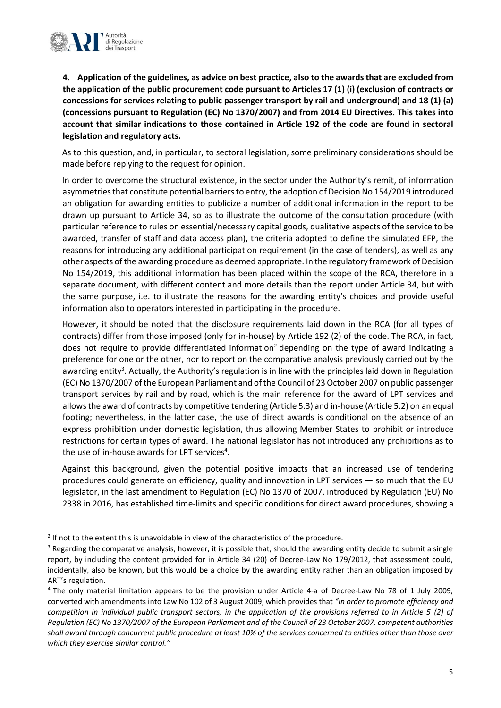

**4. Application of the guidelines, as advice on best practice, also to the awards that are excluded from the application of the public procurement code pursuant to Articles 17 (1) (i) (exclusion of contracts or concessions for services relating to public passenger transport by rail and underground) and 18 (1) (a) (concessions pursuant to Regulation (EC) No 1370/2007) and from 2014 EU Directives. This takes into account that similar indications to those contained in Article 192 of the code are found in sectoral legislation and regulatory acts.** 

As to this question, and, in particular, to sectoral legislation, some preliminary considerations should be made before replying to the request for opinion.

In order to overcome the structural existence, in the sector under the Authority's remit, of information asymmetries that constitute potential barriers to entry, the adoption of Decision No 154/2019 introduced an obligation for awarding entities to publicize a number of additional information in the report to be drawn up pursuant to Article 34, so as to illustrate the outcome of the consultation procedure (with particular reference to rules on essential/necessary capital goods, qualitative aspects of the service to be awarded, transfer of staff and data access plan), the criteria adopted to define the simulated EFP, the reasons for introducing any additional participation requirement (in the case of tenders), as well as any other aspects of the awarding procedure as deemed appropriate. In the regulatory framework of Decision No 154/2019, this additional information has been placed within the scope of the RCA, therefore in a separate document, with different content and more details than the report under Article 34, but with the same purpose, i.e. to illustrate the reasons for the awarding entity's choices and provide useful information also to operators interested in participating in the procedure.

However, it should be noted that the disclosure requirements laid down in the RCA (for all types of contracts) differ from those imposed (only for in-house) by Article 192 (2) of the code. The RCA, in fact, does not require to provide differentiated information<sup>2</sup> depending on the type of award indicating a preference for one or the other, nor to report on the comparative analysis previously carried out by the awarding entity<sup>3</sup>. Actually, the Authority's regulation is in line with the principles laid down in Regulation (EC) No 1370/2007 of the European Parliament and of the Council of 23 October 2007 on public passenger transport services by rail and by road, which is the main reference for the award of LPT services and allows the award of contracts by competitive tendering (Article 5.3) and in-house (Article 5.2) on an equal footing; nevertheless, in the latter case, the use of direct awards is conditional on the absence of an express prohibition under domestic legislation, thus allowing Member States to prohibit or introduce restrictions for certain types of award. The national legislator has not introduced any prohibitions as to the use of in-house awards for LPT services<sup>4</sup>.

Against this background, given the potential positive impacts that an increased use of tendering procedures could generate on efficiency, quality and innovation in LPT services — so much that the EU legislator, in the last amendment to Regulation (EC) No 1370 of 2007, introduced by Regulation (EU) No 2338 in 2016, has established time-limits and specific conditions for direct award procedures, showing a

 $2$  If not to the extent this is unavoidable in view of the characteristics of the procedure.

<sup>&</sup>lt;sup>3</sup> Regarding the comparative analysis, however, it is possible that, should the awarding entity decide to submit a single report, by including the content provided for in Article 34 (20) of Decree-Law No 179/2012, that assessment could, incidentally, also be known, but this would be a choice by the awarding entity rather than an obligation imposed by ART's regulation.

<sup>4</sup> The only material limitation appears to be the provision under Article 4-a of Decree-Law No 78 of 1 July 2009, converted with amendments into Law No 102 of 3 August 2009, which provides that *"In order to promote efficiency and competition in individual public transport sectors, in the application of the provisions referred to in Article 5 (2) of Regulation (EC) No 1370/2007 of the European Parliament and of the Council of 23 October 2007, competent authorities shall award through concurrent public procedure at least 10% of the services concerned to entities other than those over which they exercise similar control."*